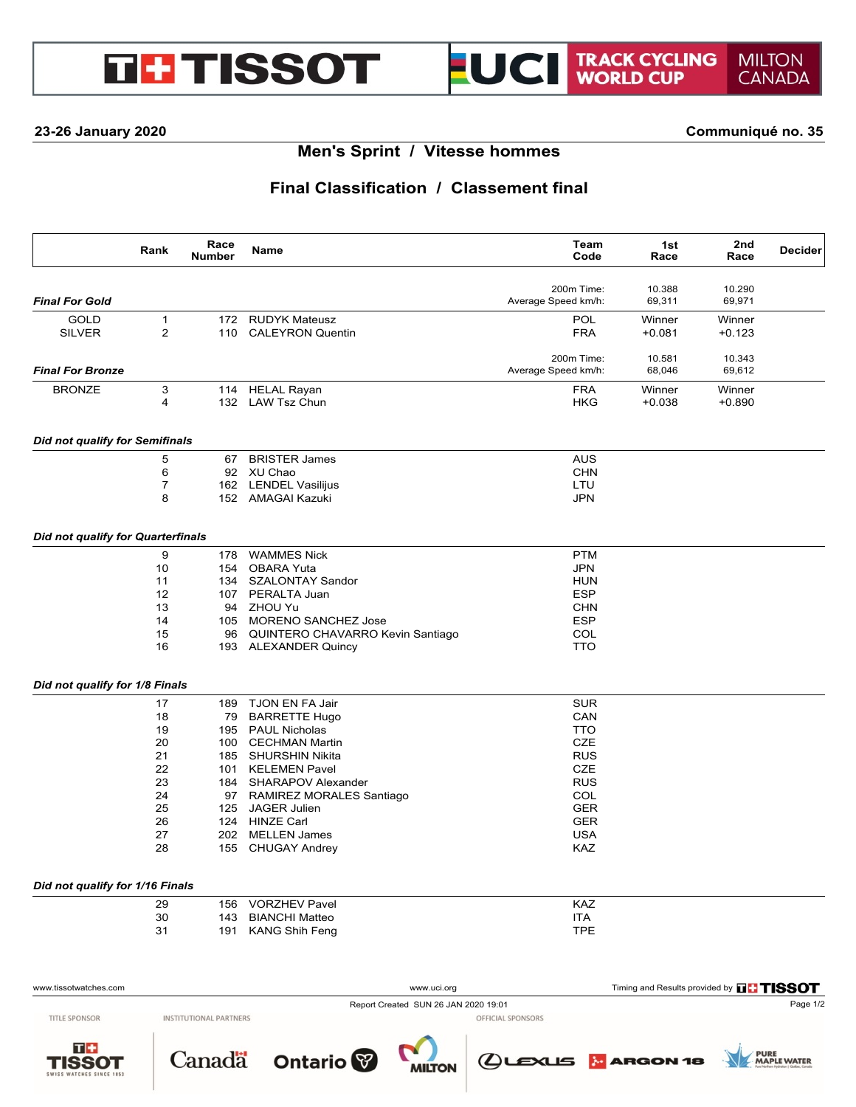# **GHTISSOT**

#### **23-26 January 2020 Communiqué no. 35**

# **Men's Sprint / Vitesse hommes**

# **Final Classification / Classement final**

|                                          | Rank           | Race<br><b>Number</b> | Name                                 | Team<br>Code        | 1st<br>Race                            | 2nd<br>Race | <b>Decider</b> |
|------------------------------------------|----------------|-----------------------|--------------------------------------|---------------------|----------------------------------------|-------------|----------------|
|                                          |                |                       |                                      | 200m Time:          | 10.388                                 | 10.290      |                |
| <b>Final For Gold</b>                    |                |                       |                                      | Average Speed km/h: | 69,311                                 | 69,971      |                |
| <b>GOLD</b>                              | $\mathbf{1}$   | 172                   | <b>RUDYK Mateusz</b>                 | POL                 | Winner                                 | Winner      |                |
| <b>SILVER</b>                            | $\overline{2}$ |                       | 110 CALEYRON Quentin                 | <b>FRA</b>          | $+0.081$                               | $+0.123$    |                |
|                                          |                |                       |                                      | 200m Time:          | 10.581                                 | 10.343      |                |
| <b>Final For Bronze</b>                  |                |                       |                                      | Average Speed km/h: | 68,046                                 | 69,612      |                |
| <b>BRONZE</b>                            | 3              | 114                   | <b>HELAL Rayan</b>                   | <b>FRA</b>          | Winner                                 | Winner      |                |
|                                          | 4              |                       | 132 LAW Tsz Chun                     | <b>HKG</b>          | $+0.038$                               | $+0.890$    |                |
| <b>Did not qualify for Semifinals</b>    |                |                       |                                      |                     |                                        |             |                |
|                                          | 5              | 67                    | <b>BRISTER James</b>                 | <b>AUS</b>          |                                        |             |                |
|                                          | 6              |                       | 92 XU Chao                           | <b>CHN</b>          |                                        |             |                |
|                                          | $\overline{7}$ |                       | 162 LENDEL Vasilijus                 | LTU                 |                                        |             |                |
|                                          | 8              |                       | 152 AMAGAI Kazuki                    | <b>JPN</b>          |                                        |             |                |
| <b>Did not qualify for Quarterfinals</b> |                |                       |                                      |                     |                                        |             |                |
|                                          | 9              | 178                   | <b>WAMMES Nick</b>                   | <b>PTM</b>          |                                        |             |                |
|                                          | 10             | 154                   | <b>OBARA Yuta</b>                    | <b>JPN</b>          |                                        |             |                |
|                                          | 11             |                       | 134 SZALONTAY Sandor                 | <b>HUN</b>          |                                        |             |                |
|                                          | 12             |                       | 107 PERALTA Juan                     | <b>ESP</b>          |                                        |             |                |
|                                          | 13             |                       | 94 ZHOU Yu                           | <b>CHN</b>          |                                        |             |                |
|                                          | 14             |                       | 105 MORENO SANCHEZ Jose              | <b>ESP</b>          |                                        |             |                |
|                                          | 15             |                       | 96 QUINTERO CHAVARRO Kevin Santiago  | COL                 |                                        |             |                |
|                                          | 16             |                       | 193 ALEXANDER Quincy                 | <b>TTO</b>          |                                        |             |                |
| Did not qualify for 1/8 Finals           |                |                       |                                      |                     |                                        |             |                |
|                                          | 17             |                       | TJON EN FA Jair                      | <b>SUR</b>          |                                        |             |                |
|                                          |                | 189                   |                                      |                     |                                        |             |                |
|                                          | 18             |                       | 79 BARRETTE Hugo                     | CAN                 |                                        |             |                |
|                                          | 19             |                       | 195 PAUL Nicholas                    | <b>TTO</b>          |                                        |             |                |
|                                          | 20             |                       | 100 CECHMAN Martin                   | <b>CZE</b>          |                                        |             |                |
|                                          | 21             |                       | 185 SHURSHIN Nikita                  | <b>RUS</b>          |                                        |             |                |
|                                          | 22             |                       | 101 KELEMEN Pavel                    | <b>CZE</b>          |                                        |             |                |
|                                          | 23             |                       | 184 SHARAPOV Alexander               | <b>RUS</b>          |                                        |             |                |
|                                          | 24             |                       | 97 RAMIREZ MORALES Santiago          | COL                 |                                        |             |                |
|                                          | 25             |                       | 125 JAGER Julien                     | <b>GER</b>          |                                        |             |                |
|                                          | 26             |                       | 124 HINZE Carl                       | <b>GER</b>          |                                        |             |                |
|                                          | 27             |                       | 202 MELLEN James                     | <b>USA</b>          |                                        |             |                |
|                                          | 28             |                       | 155 CHUGAY Andrey                    | KAZ                 |                                        |             |                |
| Did not qualify for 1/16 Finals          |                |                       |                                      |                     |                                        |             |                |
|                                          | 29             | 156                   | <b>VORZHEV Pavel</b>                 | KAZ                 |                                        |             |                |
|                                          | 30             | 143                   | <b>BIANCHI Matteo</b>                | <b>ITA</b>          |                                        |             |                |
|                                          | 31             | 191                   | <b>KANG Shih Feng</b>                | <b>TPE</b>          |                                        |             |                |
|                                          |                |                       |                                      |                     |                                        |             |                |
| www.tissotwatches.com                    |                |                       | www.uci.org                          |                     | Timing and Results provided by THISSOT |             |                |
|                                          |                |                       | Report Created SUN 26 JAN 2020 19:01 |                     |                                        |             | Page 1/2       |

**INSTITUTIONAL PARTNERS** 

工事 TISSOT

**TITLE SPONSOR** 



Ontario<sup>®</sup> **MILTON** 

OFFICIAL SPONSORS

(LEXUS MARGON 18